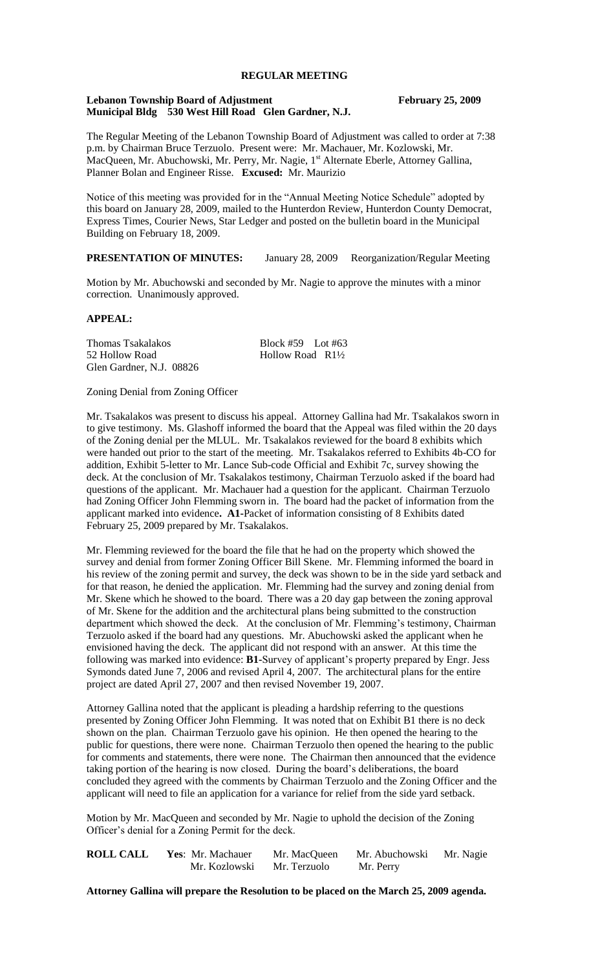# **REGULAR MEETING**

#### **Lebanon Township Board of Adjustment February 25, 2009 Municipal Bldg 530 West Hill Road Glen Gardner, N.J.**

The Regular Meeting of the Lebanon Township Board of Adjustment was called to order at 7:38 p.m. by Chairman Bruce Terzuolo. Present were: Mr. Machauer, Mr. Kozlowski, Mr. MacQueen, Mr. Abuchowski, Mr. Perry, Mr. Nagie, 1<sup>st</sup> Alternate Eberle, Attorney Gallina, Planner Bolan and Engineer Risse. **Excused:** Mr. Maurizio

Notice of this meeting was provided for in the "Annual Meeting Notice Schedule" adopted by this board on January 28, 2009, mailed to the Hunterdon Review, Hunterdon County Democrat, Express Times, Courier News, Star Ledger and posted on the bulletin board in the Municipal Building on February 18, 2009.

### **PRESENTATION OF MINUTES:** January 28, 2009Reorganization/Regular Meeting

Motion by Mr. Abuchowski and seconded by Mr. Nagie to approve the minutes with a minor correction. Unanimously approved.

#### **APPEAL:**

Thomas Tsakalakos Block #59 Lot #63 52 Hollow Road Hollow Road R1<sup>1/2</sup> Glen Gardner, N.J. 08826

#### Zoning Denial from Zoning Officer

Mr. Tsakalakos was present to discuss his appeal. Attorney Gallina had Mr. Tsakalakos sworn in to give testimony. Ms. Glashoff informed the board that the Appeal was filed within the 20 days of the Zoning denial per the MLUL. Mr. Tsakalakos reviewed for the board 8 exhibits which were handed out prior to the start of the meeting. Mr. Tsakalakos referred to Exhibits 4b-CO for addition, Exhibit 5-letter to Mr. Lance Sub-code Official and Exhibit 7c, survey showing the deck. At the conclusion of Mr. Tsakalakos testimony, Chairman Terzuolo asked if the board had questions of the applicant. Mr. Machauer had a question for the applicant. Chairman Terzuolo had Zoning Officer John Flemming sworn in. The board had the packet of information from the applicant marked into evidence**. A1-**Packet of information consisting of 8 Exhibits dated February 25, 2009 prepared by Mr. Tsakalakos.

Mr. Flemming reviewed for the board the file that he had on the property which showed the survey and denial from former Zoning Officer Bill Skene. Mr. Flemming informed the board in his review of the zoning permit and survey, the deck was shown to be in the side yard setback and for that reason, he denied the application. Mr. Flemming had the survey and zoning denial from Mr. Skene which he showed to the board. There was a 20 day gap between the zoning approval of Mr. Skene for the addition and the architectural plans being submitted to the construction department which showed the deck. At the conclusion of Mr. Flemming's testimony, Chairman Terzuolo asked if the board had any questions. Mr. Abuchowski asked the applicant when he envisioned having the deck. The applicant did not respond with an answer. At this time the following was marked into evidence: **B1-**Survey of applicant's property prepared by Engr. Jess Symonds dated June 7, 2006 and revised April 4, 2007. The architectural plans for the entire project are dated April 27, 2007 and then revised November 19, 2007.

Attorney Gallina noted that the applicant is pleading a hardship referring to the questions presented by Zoning Officer John Flemming. It was noted that on Exhibit B1 there is no deck shown on the plan. Chairman Terzuolo gave his opinion. He then opened the hearing to the public for questions, there were none. Chairman Terzuolo then opened the hearing to the public for comments and statements, there were none. The Chairman then announced that the evidence taking portion of the hearing is now closed. During the board's deliberations, the board concluded they agreed with the comments by Chairman Terzuolo and the Zoning Officer and the applicant will need to file an application for a variance for relief from the side yard setback.

Motion by Mr. MacQueen and seconded by Mr. Nagie to uphold the decision of the Zoning Officer's denial for a Zoning Permit for the deck.

| <b>ROLL CALL</b> | Yes: Mr. Machauer | Mr. MacQueen | Mr. Abuchowski Mr. Nagie |  |
|------------------|-------------------|--------------|--------------------------|--|
|                  | Mr. Kozlowski     | Mr. Terzuolo | Mr. Perry                |  |

**Attorney Gallina will prepare the Resolution to be placed on the March 25, 2009 agenda.**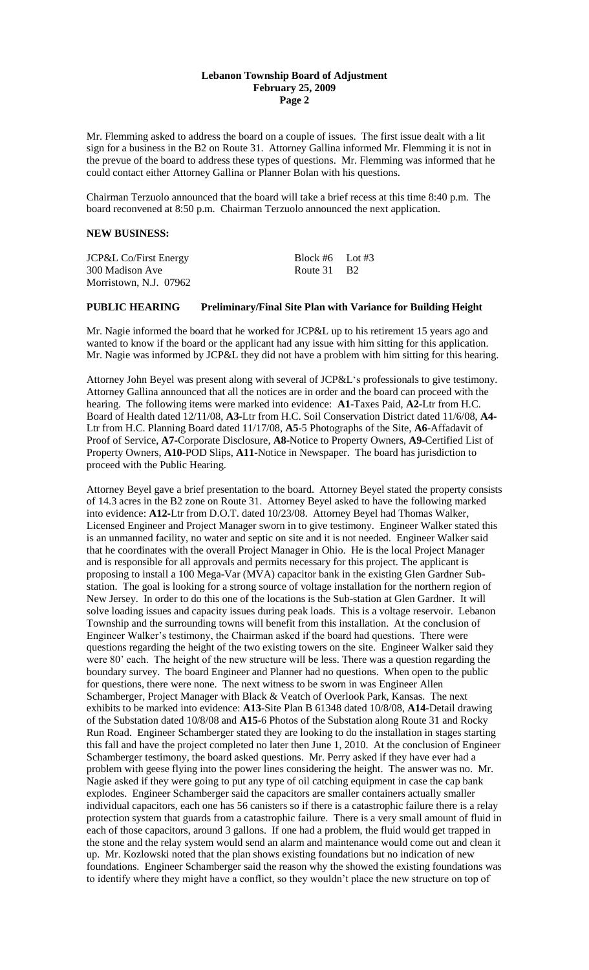#### **Lebanon Township Board of Adjustment February 25, 2009 Page 2**

Mr. Flemming asked to address the board on a couple of issues. The first issue dealt with a lit sign for a business in the B2 on Route 31. Attorney Gallina informed Mr. Flemming it is not in the prevue of the board to address these types of questions. Mr. Flemming was informed that he could contact either Attorney Gallina or Planner Bolan with his questions.

Chairman Terzuolo announced that the board will take a brief recess at this time 8:40 p.m. The board reconvened at 8:50 p.m. Chairman Terzuolo announced the next application.

#### **NEW BUSINESS:**

| <b>JCP&amp;L Co/First Energy</b> | Block #6 Lot #3 |  |
|----------------------------------|-----------------|--|
| 300 Madison Ave                  | Route 31 B2     |  |
| Morristown, N.J. 07962           |                 |  |

# **PUBLIC HEARING Preliminary/Final Site Plan with Variance for Building Height**

Mr. Nagie informed the board that he worked for JCP&L up to his retirement 15 years ago and wanted to know if the board or the applicant had any issue with him sitting for this application. Mr. Nagie was informed by JCP&L they did not have a problem with him sitting for this hearing.

Attorney John Beyel was present along with several of JCP&L's professionals to give testimony. Attorney Gallina announced that all the notices are in order and the board can proceed with the hearing. The following items were marked into evidence: **A1**-Taxes Paid, **A2-**Ltr from H.C. Board of Health dated 12/11/08, **A3**-Ltr from H.C. Soil Conservation District dated 11/6/08, **A4-** Ltr from H.C. Planning Board dated 11/17/08, **A5**-5 Photographs of the Site, **A6**-Affadavit of Proof of Service, **A7-**Corporate Disclosure, **A8**-Notice to Property Owners, **A9**-Certified List of Property Owners, **A10**-POD Slips, **A11-**Notice in Newspaper. The board has jurisdiction to proceed with the Public Hearing.

Attorney Beyel gave a brief presentation to the board. Attorney Beyel stated the property consists of 14.3 acres in the B2 zone on Route 31. Attorney Beyel asked to have the following marked into evidence: **A12-**Ltr from D.O.T. dated 10/23/08. Attorney Beyel had Thomas Walker, Licensed Engineer and Project Manager sworn in to give testimony. Engineer Walker stated this is an unmanned facility, no water and septic on site and it is not needed. Engineer Walker said that he coordinates with the overall Project Manager in Ohio. He is the local Project Manager and is responsible for all approvals and permits necessary for this project. The applicant is proposing to install a 100 Mega-Var (MVA) capacitor bank in the existing Glen Gardner Substation. The goal is looking for a strong source of voltage installation for the northern region of New Jersey. In order to do this one of the locations is the Sub-station at Glen Gardner. It will solve loading issues and capacity issues during peak loads. This is a voltage reservoir. Lebanon Township and the surrounding towns will benefit from this installation. At the conclusion of Engineer Walker's testimony, the Chairman asked if the board had questions. There were questions regarding the height of the two existing towers on the site. Engineer Walker said they were 80' each. The height of the new structure will be less. There was a question regarding the boundary survey. The board Engineer and Planner had no questions. When open to the public for questions, there were none. The next witness to be sworn in was Engineer Allen Schamberger, Project Manager with Black & Veatch of Overlook Park, Kansas. The next exhibits to be marked into evidence: **A13**-Site Plan B 61348 dated 10/8/08, **A14-**Detail drawing of the Substation dated 10/8/08 and **A15**-6 Photos of the Substation along Route 31 and Rocky Run Road. Engineer Schamberger stated they are looking to do the installation in stages starting this fall and have the project completed no later then June 1, 2010. At the conclusion of Engineer Schamberger testimony, the board asked questions. Mr. Perry asked if they have ever had a problem with geese flying into the power lines considering the height. The answer was no. Mr. Nagie asked if they were going to put any type of oil catching equipment in case the cap bank explodes. Engineer Schamberger said the capacitors are smaller containers actually smaller individual capacitors, each one has 56 canisters so if there is a catastrophic failure there is a relay protection system that guards from a catastrophic failure. There is a very small amount of fluid in each of those capacitors, around 3 gallons. If one had a problem, the fluid would get trapped in the stone and the relay system would send an alarm and maintenance would come out and clean it up. Mr. Kozlowski noted that the plan shows existing foundations but no indication of new foundations. Engineer Schamberger said the reason why the showed the existing foundations was to identify where they might have a conflict, so they wouldn't place the new structure on top of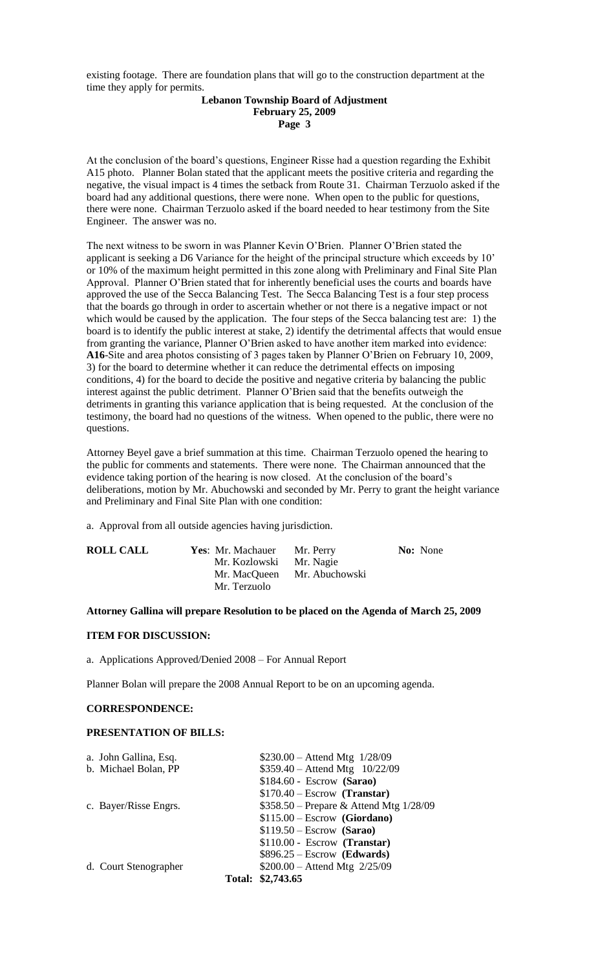existing footage. There are foundation plans that will go to the construction department at the time they apply for permits.

### **Lebanon Township Board of Adjustment February 25, 2009 Page 3**

At the conclusion of the board's questions, Engineer Risse had a question regarding the Exhibit A15 photo. Planner Bolan stated that the applicant meets the positive criteria and regarding the negative, the visual impact is 4 times the setback from Route 31. Chairman Terzuolo asked if the board had any additional questions, there were none. When open to the public for questions, there were none. Chairman Terzuolo asked if the board needed to hear testimony from the Site Engineer. The answer was no.

The next witness to be sworn in was Planner Kevin O'Brien. Planner O'Brien stated the applicant is seeking a D6 Variance for the height of the principal structure which exceeds by 10' or 10% of the maximum height permitted in this zone along with Preliminary and Final Site Plan Approval. Planner O'Brien stated that for inherently beneficial uses the courts and boards have approved the use of the Secca Balancing Test. The Secca Balancing Test is a four step process that the boards go through in order to ascertain whether or not there is a negative impact or not which would be caused by the application. The four steps of the Secca balancing test are: 1) the board is to identify the public interest at stake, 2) identify the detrimental affects that would ensue from granting the variance, Planner O'Brien asked to have another item marked into evidence: **A16**-Site and area photos consisting of 3 pages taken by Planner O'Brien on February 10, 2009, 3) for the board to determine whether it can reduce the detrimental effects on imposing conditions, 4) for the board to decide the positive and negative criteria by balancing the public interest against the public detriment. Planner O'Brien said that the benefits outweigh the detriments in granting this variance application that is being requested. At the conclusion of the testimony, the board had no questions of the witness. When opened to the public, there were no questions.

Attorney Beyel gave a brief summation at this time. Chairman Terzuolo opened the hearing to the public for comments and statements. There were none. The Chairman announced that the evidence taking portion of the hearing is now closed. At the conclusion of the board's deliberations, motion by Mr. Abuchowski and seconded by Mr. Perry to grant the height variance and Preliminary and Final Site Plan with one condition:

a. Approval from all outside agencies having jurisdiction.

| <b>ROLL CALL</b> | Yes: Mr. Machauer | Mr. Perry                   | <b>No:</b> None |
|------------------|-------------------|-----------------------------|-----------------|
|                  | Mr. Kozlowski     | Mr. Nagie                   |                 |
|                  |                   | Mr. MacQueen Mr. Abuchowski |                 |
|                  | Mr. Terzuolo      |                             |                 |

### **Attorney Gallina will prepare Resolution to be placed on the Agenda of March 25, 2009**

#### **ITEM FOR DISCUSSION:**

a. Applications Approved/Denied 2008 – For Annual Report

Planner Bolan will prepare the 2008 Annual Report to be on an upcoming agenda.

# **CORRESPONDENCE:**

#### **PRESENTATION OF BILLS:**

| a. John Gallina, Esq. | $$230.00 -$ Attend Mtg $1/28/09$        |
|-----------------------|-----------------------------------------|
| b. Michael Bolan, PP  | \$359.40 - Attend Mtg 10/22/09          |
|                       | $$184.60 - Escrow$ (Sarao)              |
|                       | $$170.40 - Escrow$ (Transtar)           |
| c. Bayer/Risse Engrs. | \$358.50 – Prepare & Attend Mtg 1/28/09 |
|                       | $$115.00 - Escrow$ (Giordano)           |
|                       | $$119.50 - Escrow$ (Sarao)              |
|                       | $$110.00 - Escrow$ (Transtar)           |
|                       | $$896.25 - Escrow$ (Edwards)            |
| d. Court Stenographer | $$200.00 - Attend Mtg 2/25/09$          |
|                       | Total: \$2,743.65                       |